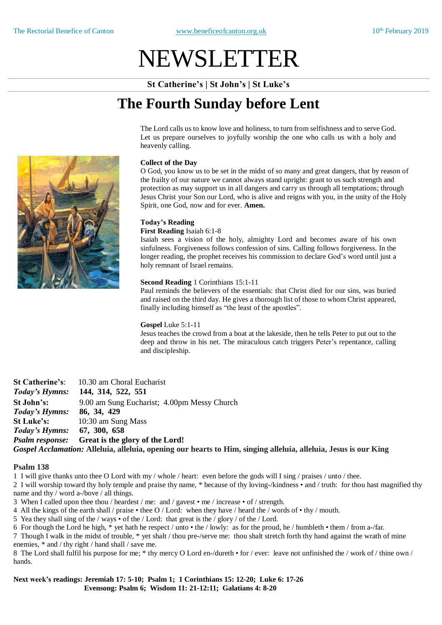# NEWSLETTER

**St Catherine's | St John's | St Luke's**

## **The Fourth Sunday before Lent**

The Lord calls us to know love and holiness, to turn from selfishness and to serve God. Let us prepare ourselves to joyfully worship the one who calls us with a holy and heavenly calling.

#### **Collect of the Day**

O God, you know us to be set in the midst of so many and great dangers, that by reason of the frailty of our nature we cannot always stand upright: grant to us such strength and protection as may support us in all dangers and carry us through all temptations; through Jesus Christ your Son our Lord, who is alive and reigns with you, in the unity of the Holy Spirit, one God, now and for ever. **Amen.**

#### **Today's Reading**

**First Reading** Isaiah 6:1-8

Isaiah sees a vision of the holy, almighty Lord and becomes aware of his own sinfulness. Forgiveness follows confession of sins. Calling follows forgiveness. In the longer reading, the prophet receives his commission to declare God's word until just a holy remnant of Israel remains.

#### **Second Reading** 1 Corinthians 15:1-11

Paul reminds the believers of the essentials: that Christ died for our sins, was buried and raised on the third day. He gives a thorough list of those to whom Christ appeared, finally including himself as "the least of the apostles".

#### **Gospel** Luke 5:1-11

Jesus teaches the crowd from a boat at the lakeside, then he tells Peter to put out to the deep and throw in his net. The miraculous catch triggers Peter's repentance, calling and discipleship.

| <b>St Catherine's:</b>             | 10.30 am Choral Eucharist                                                                                        |  |  |
|------------------------------------|------------------------------------------------------------------------------------------------------------------|--|--|
| Today's Hymns:                     | 144, 314, 522, 551                                                                                               |  |  |
| St John's:                         | 9.00 am Sung Eucharist; 4.00pm Messy Church                                                                      |  |  |
| <i>Today's Hymns:</i> 86, 34, 429  |                                                                                                                  |  |  |
| <b>St Luke's:</b>                  | 10:30 am Sung Mass                                                                                               |  |  |
| <i>Today's Hymns:</i> 67, 300, 658 |                                                                                                                  |  |  |
|                                    | <i>Psalm response:</i> Great is the glory of the Lord!                                                           |  |  |
|                                    | Gospel Acclamation: Alleluia, alleluia, opening our hearts to Him, singing alleluia, alleluia, Jesus is our King |  |  |

#### **Psalm 138**

1 I will give thanks unto thee O Lord with my / whole / heart: even before the gods will I sing / praises / unto / thee.

2 I will worship toward thy holy temple and praise thy name, \* because of thy loving-/kindness • and / truth: for thou hast magnified thy name and thy / word a-/bove / all things.

3 When I called upon thee thou / heardest / me: and / gavest  $\cdot$  me / increase  $\cdot$  of / strength.

4 All the kings of the earth shall / praise • thee O / Lord: when they have / heard the / words of • thy / mouth.

5 Yea they shall sing of the / ways • of the / Lord: that great is the / glory / of the / Lord.

6 For though the Lord be high, \* yet hath he respect / unto • the / lowly: as for the proud, he / humbleth • them / from a-/far.

7 Though I walk in the midst of trouble, \* yet shalt / thou pre-/serve me: thou shalt stretch forth thy hand against the wrath of mine enemies,  $*$  and / thy right / hand shall / save me.

8 The Lord shall fulfil his purpose for me; \* thy mercy O Lord en-/dureth • for / ever: leave not unfinished the / work of / thine own / hands.

**Next week's readings: Jeremiah 17: 5-10; Psalm 1; 1 Corinthians 15: 12-20; Luke 6: 17-26 Evensong: Psalm 6; Wisdom 11: 21-12:11; Galatians 4: 8-20**